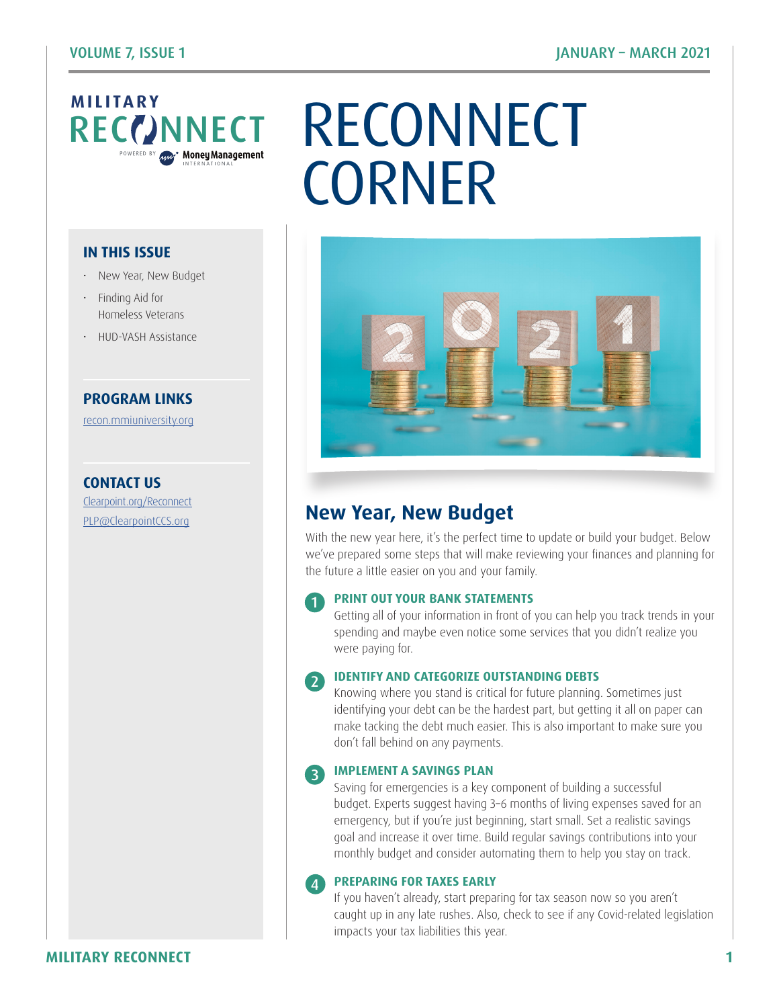# **MILITARY**<br>RECCINNECT

## CONNECT RECONNECT **CORNER**

#### **IN THIS ISSUE**

- New Year, New Budget
- Finding Aid for Homeless Veterans
- HUD-VASH Assistance

#### **PROGRAM LINKS**

[recon.mmiuniversity.org](https://recon.mmiuniversity.org/login/index.php)

**CONTACT US** C[learpoint.org/Reconnect](http://www.clearpoint.org/reconnect)



## PL[P@ClearpointCCS.org](mailto:plp%40clearpointccs.org?subject=) **New Year, New Budget**

With the new year here, it's the perfect time to update or build your budget. Below we've prepared some steps that will make reviewing your finances and planning for the future a little easier on you and your family.

#### **PRINT OUT YOUR BANK STATEMENTS**

1

4

Getting all of your information in front of you can help you track trends in your spending and maybe even notice some services that you didn't realize you were paying for.

#### **IDENTIFY AND CATEGORIZE OUTSTANDING DEBTS**  $\mathcal{L}$

Knowing where you stand is critical for future planning. Sometimes just identifying your debt can be the hardest part, but getting it all on paper can make tacking the debt much easier. This is also important to make sure you don't fall behind on any payments.

#### **IMPLEMENT A SAVINGS PLAN** 3

Saving for emergencies is a key component of building a successful budget. Experts suggest having 3–6 months of living expenses saved for an emergency, but if you're just beginning, start small. Set a realistic savings goal and increase it over time. Build regular savings contributions into your monthly budget and consider automating them to help you stay on track.

#### **PREPARING FOR TAXES EARLY**

If you haven't already, start preparing for tax season now so you aren't caught up in any late rushes. Also, check to see if any Covid-related legislation impacts your tax liabilities this year.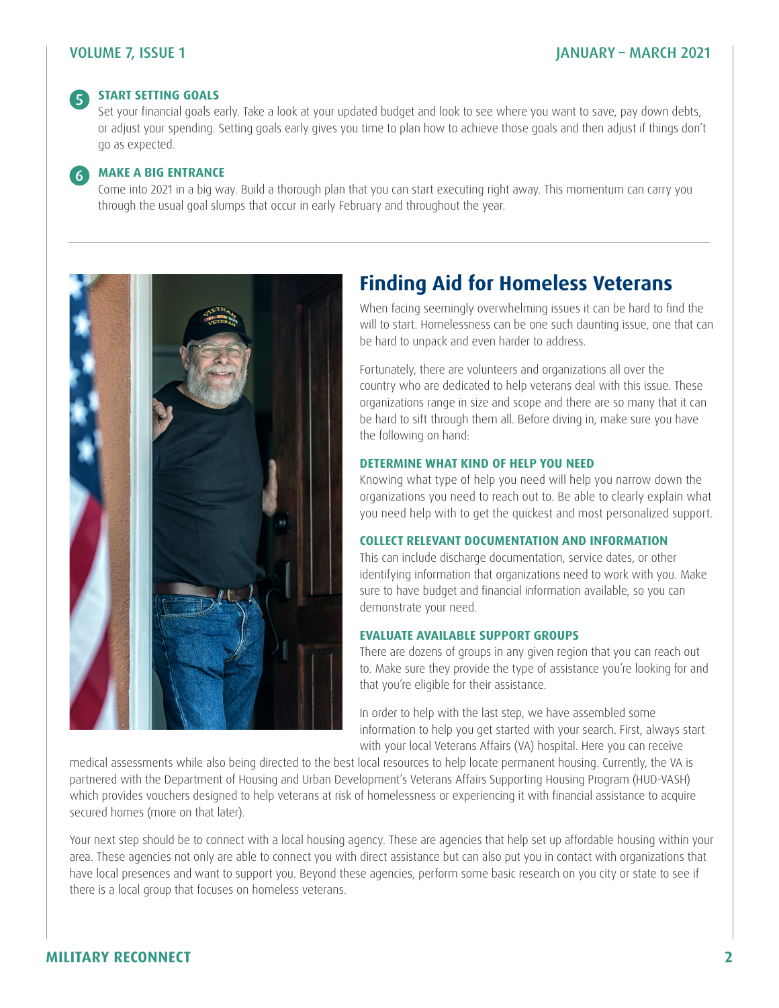#### VOLUME 7, ISSUE 1 JANUARY – MARCH 2021

#### **START SETTING GOALS**  $\sqrt{5}$

Set your financial goals early. Take a look at your updated budget and look to see where you want to save, pay down debts, or adjust your spending. Setting goals early gives you time to plan how to achieve those goals and then adjust if things don't go as expected.

#### **MAKE A BIG ENTRANCE** 6

Come into 2021 in a big way. Build a thorough plan that you can start executing right away. This momentum can carry you through the usual goal slumps that occur in early February and throughout the year.



## **Finding Aid for Homeless Veterans**

When facing seemingly overwhelming issues it can be hard to find the will to start. Homelessness can be one such daunting issue, one that can be hard to unpack and even harder to address.

Fortunately, there are volunteers and organizations all over the country who are dedicated to help veterans deal with this issue. These organizations range in size and scope and there are so many that it can be hard to sift through them all. Before diving in, make sure you have the following on hand:

#### **DETERMINE WHAT KIND OF HELP YOU NEED**

Knowing what type of help you need will help you narrow down the organizations you need to reach out to. Be able to clearly explain what you need help with to get the quickest and most personalized support.

#### **COLLECT RELEVANT DOCUMENTATION AND INFORMATION**

This can include discharge documentation, service dates, or other identifying information that organizations need to work with you. Make sure to have budget and financial information available, so you can demonstrate your need.

#### **EVALUATE AVAILABLE SUPPORT GROUPS**

There are dozens of groups in any given region that you can reach out to. Make sure they provide the type of assistance you're looking for and that you're eligible for their assistance.

In order to help with the last step, we have assembled some information to help you get started with your search. First, always start with your local Veterans Affairs (VA) hospital. Here you can receive

medical assessments while also being directed to the best local resources to help locate permanent housing. Currently, the VA is partnered with the Department of Housing and Urban Development's Veterans Affairs Supporting Housing Program (HUD-VASH) which provides vouchers designed to help veterans at risk of homelessness or experiencing it with financial assistance to acquire secured homes (more on that later).

Your next step should be to connect with a local housing agency. These are agencies that help set up affordable housing within your area. These agencies not only are able to connect you with direct assistance but can also put you in contact with organizations that have local presences and want to support you. Beyond these agencies, perform some basic research on you city or state to see if there is a local group that focuses on homeless veterans.